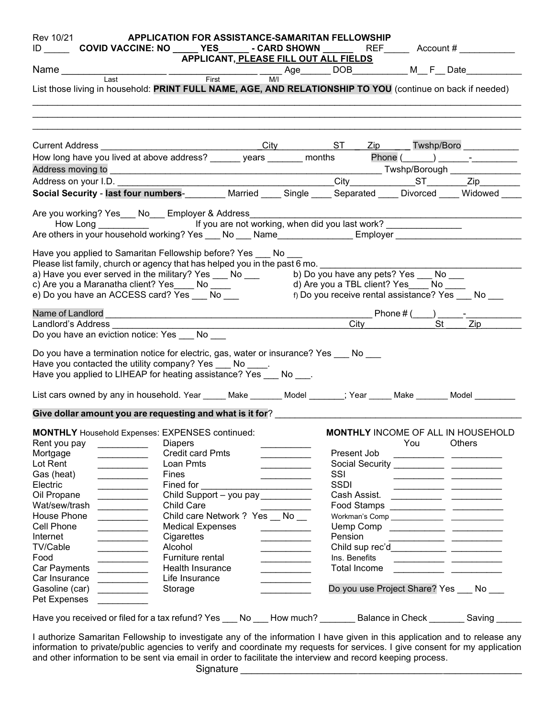|                                                                                                                                                                                                                                                                                                                                                                                                                                                                                                                                                                                                                                                                                                                                                                                                                                                                                                                        | ID COVID VACCINE: NO _____ YES_______ - CARD SHOWN __________ REF ______Account # |                             |                                                                                                                                                                                                                                      | Rev 10/21 <b>APPLICATION FOR ASSISTANCE-SAMARITAN FELLOWSHIP</b> |                                          |                                                                                                                      |
|------------------------------------------------------------------------------------------------------------------------------------------------------------------------------------------------------------------------------------------------------------------------------------------------------------------------------------------------------------------------------------------------------------------------------------------------------------------------------------------------------------------------------------------------------------------------------------------------------------------------------------------------------------------------------------------------------------------------------------------------------------------------------------------------------------------------------------------------------------------------------------------------------------------------|-----------------------------------------------------------------------------------|-----------------------------|--------------------------------------------------------------------------------------------------------------------------------------------------------------------------------------------------------------------------------------|------------------------------------------------------------------|------------------------------------------|----------------------------------------------------------------------------------------------------------------------|
|                                                                                                                                                                                                                                                                                                                                                                                                                                                                                                                                                                                                                                                                                                                                                                                                                                                                                                                        | APPLICANT <u>, PLEASE FILL OUT ALL FIELDS</u>                                     |                             |                                                                                                                                                                                                                                      |                                                                  |                                          |                                                                                                                      |
| Name Last Last Last Tirst Tirst Tirst Tirst Tirst The Last Tirst The Last Tirst Tirst The Last Tirst Tirst Tirst The Last Tirst Tirst Tirst The Last Tirst Tirst Tirst Tirst Tirst Tirst Tirst Tirst Tirst Tirst Tirst Tirst T                                                                                                                                                                                                                                                                                                                                                                                                                                                                                                                                                                                                                                                                                         |                                                                                   |                             |                                                                                                                                                                                                                                      |                                                                  |                                          |                                                                                                                      |
| List those living in household: PRINT FULL NAME, AGE, AND RELATIONSHIP TO YOU (continue on back if needed)                                                                                                                                                                                                                                                                                                                                                                                                                                                                                                                                                                                                                                                                                                                                                                                                             |                                                                                   |                             |                                                                                                                                                                                                                                      |                                                                  |                                          |                                                                                                                      |
|                                                                                                                                                                                                                                                                                                                                                                                                                                                                                                                                                                                                                                                                                                                                                                                                                                                                                                                        |                                                                                   |                             |                                                                                                                                                                                                                                      |                                                                  |                                          |                                                                                                                      |
|                                                                                                                                                                                                                                                                                                                                                                                                                                                                                                                                                                                                                                                                                                                                                                                                                                                                                                                        |                                                                                   |                             |                                                                                                                                                                                                                                      |                                                                  |                                          |                                                                                                                      |
|                                                                                                                                                                                                                                                                                                                                                                                                                                                                                                                                                                                                                                                                                                                                                                                                                                                                                                                        |                                                                                   |                             |                                                                                                                                                                                                                                      |                                                                  |                                          |                                                                                                                      |
|                                                                                                                                                                                                                                                                                                                                                                                                                                                                                                                                                                                                                                                                                                                                                                                                                                                                                                                        |                                                                                   |                             |                                                                                                                                                                                                                                      |                                                                  |                                          |                                                                                                                      |
| Address moving to<br>Address on your I.D.<br>Social Security - last four numbers-_________ Married ____ Single ____ Separated ____ Divorced ____ Widowed ____                                                                                                                                                                                                                                                                                                                                                                                                                                                                                                                                                                                                                                                                                                                                                          |                                                                                   |                             |                                                                                                                                                                                                                                      |                                                                  |                                          |                                                                                                                      |
| Are you working? Yes ___ No___ Employer & Address __________<br>Have you applied to Samaritan Fellowship before? Yes ___ No                                                                                                                                                                                                                                                                                                                                                                                                                                                                                                                                                                                                                                                                                                                                                                                            |                                                                                   |                             |                                                                                                                                                                                                                                      |                                                                  |                                          |                                                                                                                      |
| Please list family, church or agency that has helped you in the past 6 mo.<br>a) Have you ever served in the military? Yes ___ No ___ b) Do you have any pets? Yes ___ No ___<br>c) Are you a Maranatha client? Yes _____ No ____<br>e) Do you have an ACCESS card? Yes ___ No ___                                                                                                                                                                                                                                                                                                                                                                                                                                                                                                                                                                                                                                     |                                                                                   |                             |                                                                                                                                                                                                                                      |                                                                  | d) Are you a TBL client? Yes____ No ____ | f) Do you receive rental assistance? Yes No                                                                          |
| Name of Landlord<br>Landlord's Address                                                                                                                                                                                                                                                                                                                                                                                                                                                                                                                                                                                                                                                                                                                                                                                                                                                                                 | Phone # $\frac{City}{C}$ Phone # $\frac{City}{C}$ $\frac{Cty}{C}$                 |                             |                                                                                                                                                                                                                                      |                                                                  |                                          |                                                                                                                      |
|                                                                                                                                                                                                                                                                                                                                                                                                                                                                                                                                                                                                                                                                                                                                                                                                                                                                                                                        |                                                                                   |                             |                                                                                                                                                                                                                                      |                                                                  |                                          |                                                                                                                      |
|                                                                                                                                                                                                                                                                                                                                                                                                                                                                                                                                                                                                                                                                                                                                                                                                                                                                                                                        |                                                                                   |                             |                                                                                                                                                                                                                                      |                                                                  |                                          |                                                                                                                      |
|                                                                                                                                                                                                                                                                                                                                                                                                                                                                                                                                                                                                                                                                                                                                                                                                                                                                                                                        |                                                                                   |                             |                                                                                                                                                                                                                                      |                                                                  |                                          |                                                                                                                      |
|                                                                                                                                                                                                                                                                                                                                                                                                                                                                                                                                                                                                                                                                                                                                                                                                                                                                                                                        |                                                                                   |                             |                                                                                                                                                                                                                                      |                                                                  |                                          |                                                                                                                      |
|                                                                                                                                                                                                                                                                                                                                                                                                                                                                                                                                                                                                                                                                                                                                                                                                                                                                                                                        |                                                                                   |                             |                                                                                                                                                                                                                                      |                                                                  |                                          |                                                                                                                      |
|                                                                                                                                                                                                                                                                                                                                                                                                                                                                                                                                                                                                                                                                                                                                                                                                                                                                                                                        |                                                                                   |                             |                                                                                                                                                                                                                                      |                                                                  |                                          | MONTHLY INCOME OF ALL IN HOUSEHOLD                                                                                   |
| <u> 1999 - Johann Barnett, f</u>                                                                                                                                                                                                                                                                                                                                                                                                                                                                                                                                                                                                                                                                                                                                                                                                                                                                                       | <b>Diapers</b>                                                                    |                             |                                                                                                                                                                                                                                      |                                                                  | You                                      | Others                                                                                                               |
| <b>Contract Contract Contract</b>                                                                                                                                                                                                                                                                                                                                                                                                                                                                                                                                                                                                                                                                                                                                                                                                                                                                                      | <b>Credit card Pmts</b>                                                           |                             |                                                                                                                                                                                                                                      | Present Job                                                      |                                          |                                                                                                                      |
| $\overline{\phantom{a}}$                                                                                                                                                                                                                                                                                                                                                                                                                                                                                                                                                                                                                                                                                                                                                                                                                                                                                               | Loan Pmts                                                                         |                             | and the company of the                                                                                                                                                                                                               |                                                                  |                                          |                                                                                                                      |
| <u> 1990 - Johann John Barns</u>                                                                                                                                                                                                                                                                                                                                                                                                                                                                                                                                                                                                                                                                                                                                                                                                                                                                                       | Fines                                                                             |                             | $\overline{\phantom{a}}$                                                                                                                                                                                                             | SSI                                                              |                                          |                                                                                                                      |
|                                                                                                                                                                                                                                                                                                                                                                                                                                                                                                                                                                                                                                                                                                                                                                                                                                                                                                                        | Fined for                                                                         |                             |                                                                                                                                                                                                                                      | <b>SSDI</b>                                                      |                                          |                                                                                                                      |
|                                                                                                                                                                                                                                                                                                                                                                                                                                                                                                                                                                                                                                                                                                                                                                                                                                                                                                                        |                                                                                   | Child Support - you pay     |                                                                                                                                                                                                                                      | Cash Assist.                                                     |                                          |                                                                                                                      |
|                                                                                                                                                                                                                                                                                                                                                                                                                                                                                                                                                                                                                                                                                                                                                                                                                                                                                                                        | <b>Child Care</b>                                                                 |                             |                                                                                                                                                                                                                                      |                                                                  |                                          |                                                                                                                      |
| <u> Alban Maria Alban M</u>                                                                                                                                                                                                                                                                                                                                                                                                                                                                                                                                                                                                                                                                                                                                                                                                                                                                                            |                                                                                   | Child care Network ? Yes No |                                                                                                                                                                                                                                      |                                                                  |                                          |                                                                                                                      |
| and the control of the con-                                                                                                                                                                                                                                                                                                                                                                                                                                                                                                                                                                                                                                                                                                                                                                                                                                                                                            | <b>Medical Expenses</b>                                                           |                             | <u> Liberatura de la provincia de la provincia de la provincia de la provincia de la provincia de la provincia de la provincia de la provincia de la provincia de la provincia de la provincia de la provincia de la provincia d</u> |                                                                  |                                          |                                                                                                                      |
| <b>Contract Contract Contract</b>                                                                                                                                                                                                                                                                                                                                                                                                                                                                                                                                                                                                                                                                                                                                                                                                                                                                                      | Cigarettes                                                                        |                             |                                                                                                                                                                                                                                      | Pension                                                          |                                          | <u> 1990 - Johann John Hermann, market francouzski film</u>                                                          |
|                                                                                                                                                                                                                                                                                                                                                                                                                                                                                                                                                                                                                                                                                                                                                                                                                                                                                                                        | Alcohol                                                                           |                             | <b>Contract Contract Contract</b>                                                                                                                                                                                                    |                                                                  |                                          | Child sup rec'd_____________ ____________                                                                            |
|                                                                                                                                                                                                                                                                                                                                                                                                                                                                                                                                                                                                                                                                                                                                                                                                                                                                                                                        | Furniture rental                                                                  |                             | $\mathcal{L}^{\mathcal{L}}(\mathcal{L}^{\mathcal{L}})$ and $\mathcal{L}^{\mathcal{L}}(\mathcal{L}^{\mathcal{L}})$ . Then                                                                                                             | Ins. Benefits                                                    |                                          | <u> 1989 - Johann John Barn, mars eta industrial eta industrial eta industrial eta industrial eta industrial eta</u> |
| <u> 1999 - Johann Barnett, f</u>                                                                                                                                                                                                                                                                                                                                                                                                                                                                                                                                                                                                                                                                                                                                                                                                                                                                                       | Health Insurance                                                                  |                             |                                                                                                                                                                                                                                      | Total Income                                                     |                                          |                                                                                                                      |
| $\frac{1}{2}$                                                                                                                                                                                                                                                                                                                                                                                                                                                                                                                                                                                                                                                                                                                                                                                                                                                                                                          | Life Insurance                                                                    |                             |                                                                                                                                                                                                                                      |                                                                  |                                          |                                                                                                                      |
| المسترين بن المسترجع بن المسترجع المسترجع المسترجع المسترجع المسترجع المسترجع المسترجع المسترجع المستخدمة المس<br>المستجد المستجد المستجد المستجد المستجد المستجد المستجد المستجد المستجد المستجد المستجد المستجد المستجد المستج<br>Do you have a termination notice for electric, gas, water or insurance? Yes ___ No ___<br>Have you contacted the utility company? Yes ___ No ____.<br>Have you applied to LIHEAP for heating assistance? Yes ___ No ___.<br>List cars owned by any in household. Year _____ Make _______ Model _______; Year _____ Make ______ Model ____<br>Give dollar amount you are requesting and what is it for?<br><b>MONTHLY</b> Household Expenses: EXPENSES continued:<br>Rent you pay<br>Mortgage<br>Lot Rent<br>Gas (heat)<br>Electric<br>Oil Propane<br>Wat/sew/trash<br>House Phone<br>Cell Phone<br>Internet<br>TV/Cable<br>Food<br>Car Payments<br>Car Insurance<br>Gasoline (car) | Storage                                                                           |                             |                                                                                                                                                                                                                                      |                                                                  |                                          | Do you use Project Share? Yes No                                                                                     |
| Pet Expenses                                                                                                                                                                                                                                                                                                                                                                                                                                                                                                                                                                                                                                                                                                                                                                                                                                                                                                           |                                                                                   |                             |                                                                                                                                                                                                                                      |                                                                  |                                          |                                                                                                                      |
| Have you received or filed for a tax refund? Yes ___ No ___ How much? _______ Balance in Check _______ Saving _                                                                                                                                                                                                                                                                                                                                                                                                                                                                                                                                                                                                                                                                                                                                                                                                        |                                                                                   |                             |                                                                                                                                                                                                                                      |                                                                  |                                          |                                                                                                                      |

I authorize Samaritan Fellowship to investigate any of the information I have given in this application and to release any information to private/public agencies to verify and coordinate my requests for services. I give consent for my application and other information to be sent via email in order to facilitate the interview and record keeping process. Signature \_\_\_\_\_\_\_\_\_\_\_\_\_\_\_\_\_\_\_\_\_ \_\_\_\_\_\_\_\_\_\_\_\_\_\_\_ \_\_\_\_\_\_\_\_\_\_\_\_\_\_